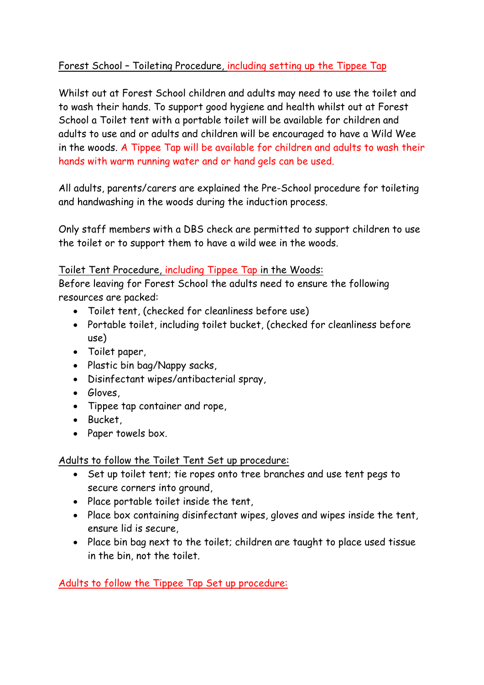#### Forest School – Toileting Procedure, including setting up the Tippee Tap

Whilst out at Forest School children and adults may need to use the toilet and to wash their hands. To support good hygiene and health whilst out at Forest School a Toilet tent with a portable toilet will be available for children and adults to use and or adults and children will be encouraged to have a Wild Wee in the woods. A Tippee Tap will be available for children and adults to wash their hands with warm running water and or hand gels can be used.

All adults, parents/carers are explained the Pre-School procedure for toileting and handwashing in the woods during the induction process.

Only staff members with a DBS check are permitted to support children to use the toilet or to support them to have a wild wee in the woods.

#### Toilet Tent Procedure, including Tippee Tap in the Woods:

Before leaving for Forest School the adults need to ensure the following resources are packed:

- Toilet tent, (checked for cleanliness before use)
- Portable toilet, including toilet bucket, (checked for cleanliness before use)
- Toilet paper,
- Plastic bin bag/Nappy sacks,
- Disinfectant wipes/antibacterial spray,
- Gloves,
- Tippee tap container and rope,
- Bucket,
- Paper towels box.

Adults to follow the Toilet Tent Set up procedure:

- Set up toilet tent; tie ropes onto tree branches and use tent pegs to secure corners into ground,
- Place portable toilet inside the tent,
- Place box containing disinfectant wipes, gloves and wipes inside the tent, ensure lid is secure,
- Place bin bag next to the toilet; children are taught to place used tissue in the bin, not the toilet.

Adults to follow the Tippee Tap Set up procedure: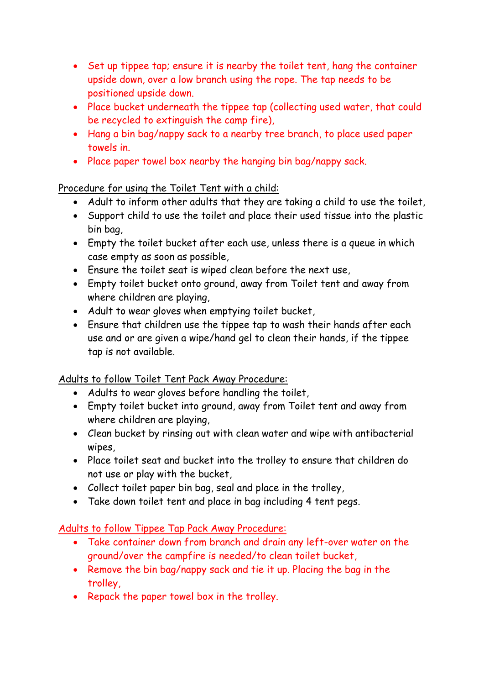- Set up tippee tap; ensure it is nearby the toilet tent, hang the container upside down, over a low branch using the rope. The tap needs to be positioned upside down.
- Place bucket underneath the tippee tap (collecting used water, that could be recycled to extinguish the camp fire),
- Hang a bin bag/nappy sack to a nearby tree branch, to place used paper towels in.
- Place paper towel box nearby the hanging bin bag/nappy sack.

## Procedure for using the Toilet Tent with a child:

- Adult to inform other adults that they are taking a child to use the toilet,
- Support child to use the toilet and place their used tissue into the plastic bin bag,
- Empty the toilet bucket after each use, unless there is a queue in which case empty as soon as possible,
- Ensure the toilet seat is wiped clean before the next use,
- Empty toilet bucket onto ground, away from Toilet tent and away from where children are playing,
- Adult to wear gloves when emptying toilet bucket,
- Ensure that children use the tippee tap to wash their hands after each use and or are given a wipe/hand gel to clean their hands, if the tippee tap is not available.

## Adults to follow Toilet Tent Pack Away Procedure:

- Adults to wear gloves before handling the toilet,
- Empty toilet bucket into ground, away from Toilet tent and away from where children are playing,
- Clean bucket by rinsing out with clean water and wipe with antibacterial wipes,
- Place toilet seat and bucket into the trolley to ensure that children do not use or play with the bucket,
- Collect toilet paper bin bag, seal and place in the trolley,
- Take down toilet tent and place in bag including 4 tent pegs.

## Adults to follow Tippee Tap Pack Away Procedure:

- Take container down from branch and drain any left-over water on the ground/over the campfire is needed/to clean toilet bucket,
- Remove the bin bag/nappy sack and tie it up. Placing the bag in the trolley,
- Repack the paper towel box in the trolley.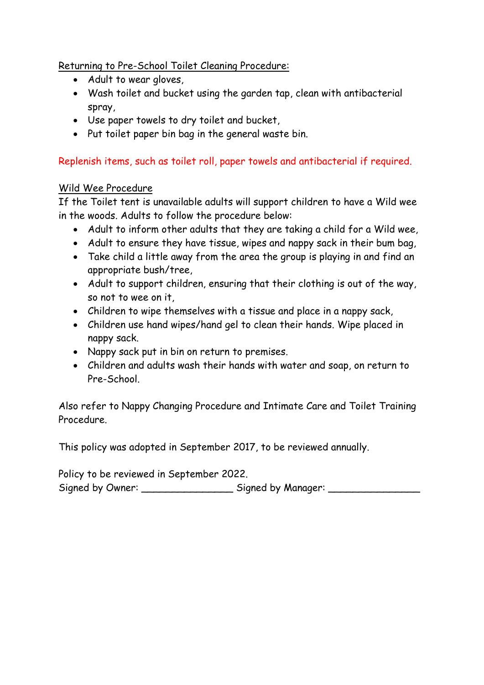Returning to Pre-School Toilet Cleaning Procedure:

- Adult to wear gloves,
- Wash toilet and bucket using the garden tap, clean with antibacterial spray,
- Use paper towels to dry toilet and bucket,
- Put toilet paper bin bag in the general waste bin.

# Replenish items, such as toilet roll, paper towels and antibacterial if required.

#### Wild Wee Procedure

If the Toilet tent is unavailable adults will support children to have a Wild wee in the woods. Adults to follow the procedure below:

- Adult to inform other adults that they are taking a child for a Wild wee,
- Adult to ensure they have tissue, wipes and nappy sack in their bum bag,
- Take child a little away from the area the group is playing in and find an appropriate bush/tree,
- Adult to support children, ensuring that their clothing is out of the way, so not to wee on it,
- Children to wipe themselves with a tissue and place in a nappy sack,
- Children use hand wipes/hand gel to clean their hands. Wipe placed in nappy sack.
- Nappy sack put in bin on return to premises.
- Children and adults wash their hands with water and soap, on return to Pre-School.

Also refer to Nappy Changing Procedure and Intimate Care and Toilet Training Procedure.

This policy was adopted in September 2017, to be reviewed annually.

Policy to be reviewed in September 2022. Signed by Owner: \_\_\_\_\_\_\_\_\_\_\_\_\_\_\_\_\_\_ Signed by Manager: \_\_\_\_\_\_\_\_\_\_\_\_\_\_\_\_\_\_\_\_\_\_\_\_\_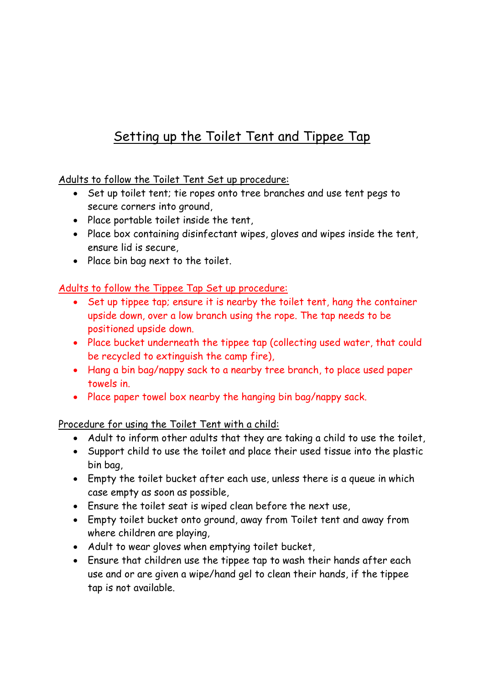# Setting up the Toilet Tent and Tippee Tap

Adults to follow the Toilet Tent Set up procedure:

- Set up toilet tent; tie ropes onto tree branches and use tent pegs to secure corners into ground,
- Place portable toilet inside the tent,
- Place box containing disinfectant wipes, gloves and wipes inside the tent, ensure lid is secure,
- Place bin bag next to the toilet.

#### Adults to follow the Tippee Tap Set up procedure:

- Set up tippee tap; ensure it is nearby the toilet tent, hang the container upside down, over a low branch using the rope. The tap needs to be positioned upside down.
- Place bucket underneath the tippee tap (collecting used water, that could be recycled to extinguish the camp fire),
- Hang a bin bag/nappy sack to a nearby tree branch, to place used paper towels in.
- Place paper towel box nearby the hanging bin bag/nappy sack.

Procedure for using the Toilet Tent with a child:

- Adult to inform other adults that they are taking a child to use the toilet,
- Support child to use the toilet and place their used tissue into the plastic bin bag,
- Empty the toilet bucket after each use, unless there is a queue in which case empty as soon as possible,
- Ensure the toilet seat is wiped clean before the next use,
- Empty toilet bucket onto ground, away from Toilet tent and away from where children are playing,
- Adult to wear gloves when emptying toilet bucket,
- Ensure that children use the tippee tap to wash their hands after each use and or are given a wipe/hand gel to clean their hands, if the tippee tap is not available.